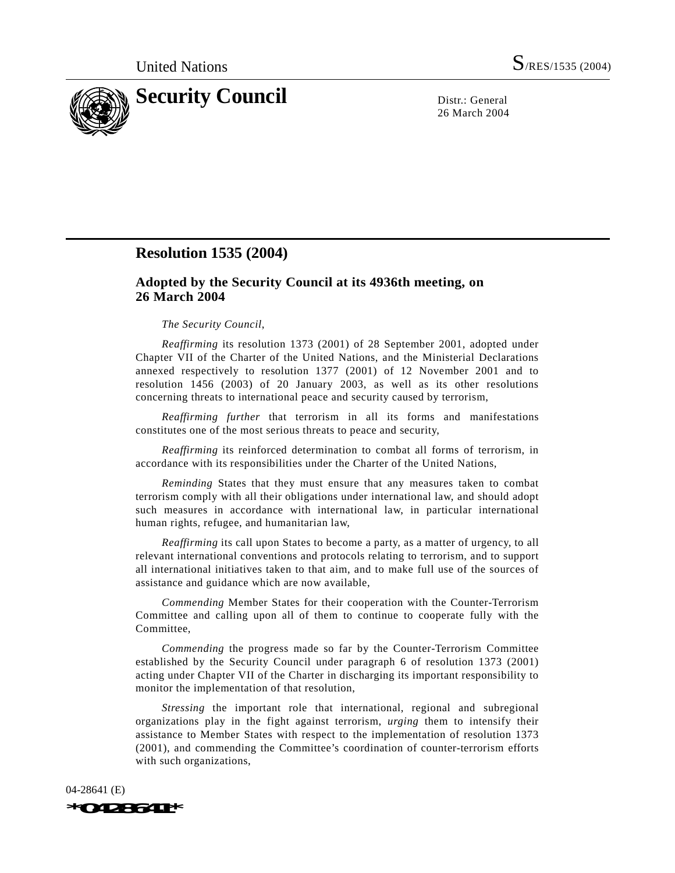

26 March 2004

## **Resolution 1535 (2004)**

## **Adopted by the Security Council at its 4936th meeting, on 26 March 2004**

## *The Security Council*,

*Reaffirming* its resolution 1373 (2001) of 28 September 2001, adopted under Chapter VII of the Charter of the United Nations, and the Ministerial Declarations annexed respectively to resolution 1377 (2001) of 12 November 2001 and to resolution 1456 (2003) of 20 January 2003, as well as its other resolutions concerning threats to international peace and security caused by terrorism,

*Reaffirming further* that terrorism in all its forms and manifestations constitutes one of the most serious threats to peace and security,

*Reaffirming* its reinforced determination to combat all forms of terrorism, in accordance with its responsibilities under the Charter of the United Nations,

*Reminding* States that they must ensure that any measures taken to combat terrorism comply with all their obligations under international law, and should adopt such measures in accordance with international law, in particular international human rights, refugee, and humanitarian law,

*Reaffirming* its call upon States to become a party, as a matter of urgency, to all relevant international conventions and protocols relating to terrorism, and to support all international initiatives taken to that aim, and to make full use of the sources of assistance and guidance which are now available,

*Commending* Member States for their cooperation with the Counter-Terrorism Committee and calling upon all of them to continue to cooperate fully with the Committee,

*Commending* the progress made so far by the Counter-Terrorism Committee established by the Security Council under paragraph 6 of resolution 1373 (2001) acting under Chapter VII of the Charter in discharging its important responsibility to monitor the implementation of that resolution,

*Stressing* the important role that international, regional and subregional organizations play in the fight against terrorism, *urging* them to intensify their assistance to Member States with respect to the implementation of resolution 1373 (2001), and commending the Committee's coordination of counter-terrorism efforts with such organizations,

04-28641 (E) *\*0428641\**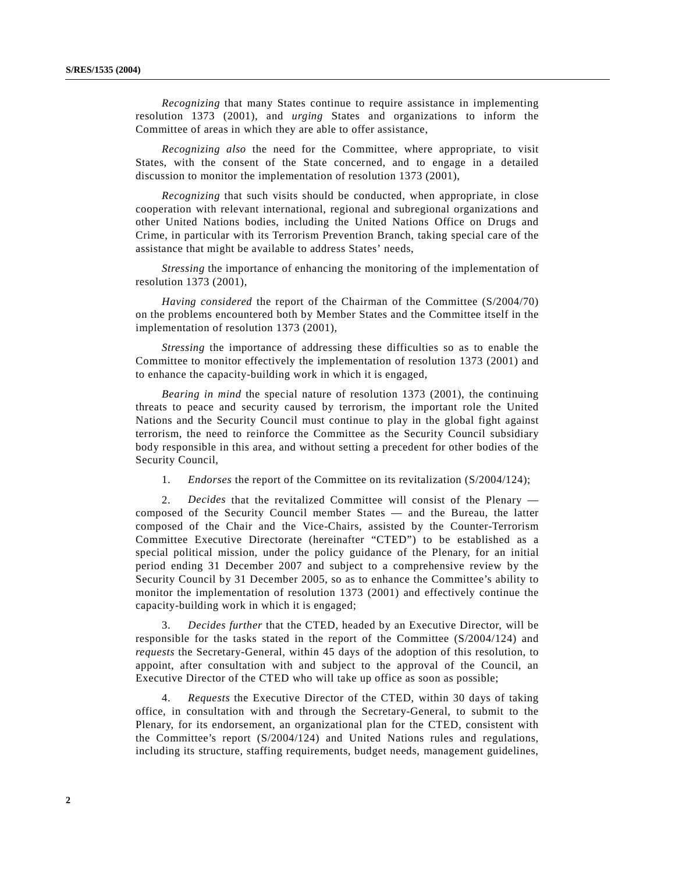*Recognizing* that many States continue to require assistance in implementing resolution 1373 (2001), and *urging* States and organizations to inform the Committee of areas in which they are able to offer assistance,

*Recognizing also* the need for the Committee, where appropriate, to visit States, with the consent of the State concerned, and to engage in a detailed discussion to monitor the implementation of resolution 1373 (2001),

*Recognizing* that such visits should be conducted, when appropriate, in close cooperation with relevant international, regional and subregional organizations and other United Nations bodies, including the United Nations Office on Drugs and Crime, in particular with its Terrorism Prevention Branch, taking special care of the assistance that might be available to address States' needs,

*Stressing* the importance of enhancing the monitoring of the implementation of resolution 1373 (2001),

*Having considered* the report of the Chairman of the Committee (S/2004/70) on the problems encountered both by Member States and the Committee itself in the implementation of resolution 1373 (2001),

*Stressing* the importance of addressing these difficulties so as to enable the Committee to monitor effectively the implementation of resolution 1373 (2001) and to enhance the capacity-building work in which it is engaged,

*Bearing in mind* the special nature of resolution 1373 (2001), the continuing threats to peace and security caused by terrorism, the important role the United Nations and the Security Council must continue to play in the global fight against terrorism, the need to reinforce the Committee as the Security Council subsidiary body responsible in this area, and without setting a precedent for other bodies of the Security Council,

1. *Endorses* the report of the Committee on its revitalization (S/2004/124);

2. *Decides* that the revitalized Committee will consist of the Plenary composed of the Security Council member States — and the Bureau, the latter composed of the Chair and the Vice-Chairs, assisted by the Counter-Terrorism Committee Executive Directorate (hereinafter "CTED") to be established as a special political mission, under the policy guidance of the Plenary, for an initial period ending 31 December 2007 and subject to a comprehensive review by the Security Council by 31 December 2005, so as to enhance the Committee's ability to monitor the implementation of resolution 1373 (2001) and effectively continue the capacity-building work in which it is engaged;

3. *Decides further* that the CTED, headed by an Executive Director, will be responsible for the tasks stated in the report of the Committee (S/2004/124) and *requests* the Secretary-General, within 45 days of the adoption of this resolution, to appoint, after consultation with and subject to the approval of the Council, an Executive Director of the CTED who will take up office as soon as possible;

4. *Requests* the Executive Director of the CTED, within 30 days of taking office, in consultation with and through the Secretary-General, to submit to the Plenary, for its endorsement, an organizational plan for the CTED, consistent with the Committee's report (S/2004/124) and United Nations rules and regulations, including its structure, staffing requirements, budget needs, management guidelines,